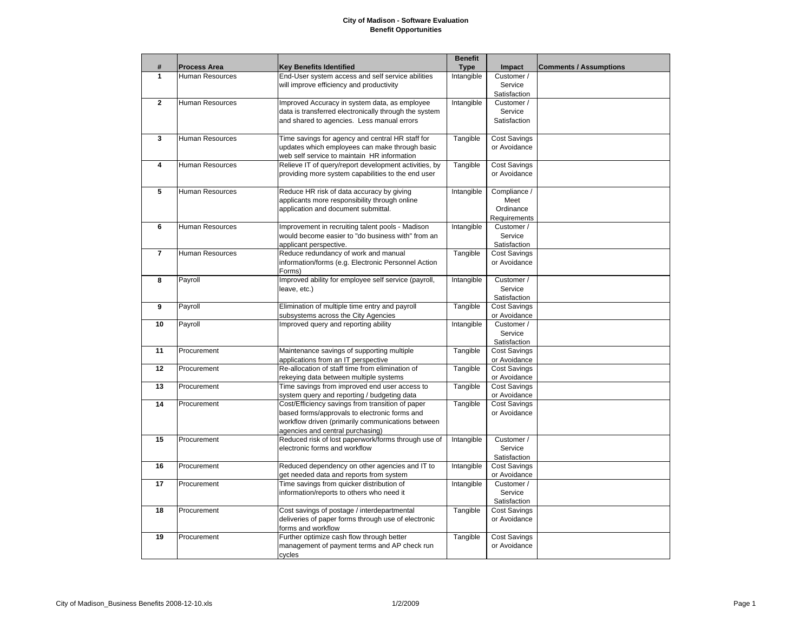## **City of Madison - Software Evaluation Benefit Opportunities**

|                |                        |                                                       | <b>Benefit</b> |                     |                               |
|----------------|------------------------|-------------------------------------------------------|----------------|---------------------|-------------------------------|
| #              | <b>Process Area</b>    | <b>Key Benefits Identified</b>                        | <b>Type</b>    | Impact              | <b>Comments / Assumptions</b> |
| 1              | Human Resources        | End-User system access and self service abilities     | Intangible     | Customer /          |                               |
|                |                        | will improve efficiency and productivity              |                | Service             |                               |
|                |                        |                                                       |                | Satisfaction        |                               |
| $\mathbf{2}$   | Human Resources        | Improved Accuracy in system data, as employee         | Intangible     | Customer /          |                               |
|                |                        | data is transferred electronically through the system |                | Service             |                               |
|                |                        | and shared to agencies. Less manual errors            |                | Satisfaction        |                               |
|                |                        |                                                       |                |                     |                               |
| 3              | <b>Human Resources</b> | Time savings for agency and central HR staff for      | Tangible       | <b>Cost Savings</b> |                               |
|                |                        | updates which employees can make through basic        |                | or Avoidance        |                               |
|                |                        | web self service to maintain HR information           |                |                     |                               |
| 4              | Human Resources        | Relieve IT of query/report development activities, by | Tangible       | <b>Cost Savings</b> |                               |
|                |                        | providing more system capabilities to the end user    |                | or Avoidance        |                               |
|                |                        |                                                       |                |                     |                               |
| 5              | <b>Human Resources</b> | Reduce HR risk of data accuracy by giving             | Intangible     | Compliance /        |                               |
|                |                        | applicants more responsibility through online         |                | Meet                |                               |
|                |                        | application and document submittal.                   |                | Ordinance           |                               |
|                |                        |                                                       |                | Requirements        |                               |
| 6              | <b>Human Resources</b> | Improvement in recruiting talent pools - Madison      | Intangible     | Customer /          |                               |
|                |                        | would become easier to "do business with" from an     |                | Service             |                               |
|                |                        | applicant perspective.                                |                | Satisfaction        |                               |
| $\overline{7}$ | <b>Human Resources</b> | Reduce redundancy of work and manual                  | Tangible       | <b>Cost Savings</b> |                               |
|                |                        | information/forms (e.g. Electronic Personnel Action   |                | or Avoidance        |                               |
|                |                        | Forms)                                                |                |                     |                               |
| 8              | Payroll                | Improved ability for employee self service (payroll,  | Intangible     | Customer /          |                               |
|                |                        | leave, etc.)                                          |                | Service             |                               |
|                |                        |                                                       |                | Satisfaction        |                               |
| 9              | Payroll                | Elimination of multiple time entry and payroll        | Tangible       | <b>Cost Savings</b> |                               |
|                |                        | subsystems across the City Agencies                   |                | or Avoidance        |                               |
| 10             | Payroll                | Improved query and reporting ability                  | Intangible     | Customer /          |                               |
|                |                        |                                                       |                | Service             |                               |
|                |                        |                                                       |                | Satisfaction        |                               |
| 11             | Procurement            | Maintenance savings of supporting multiple            | Tangible       | <b>Cost Savings</b> |                               |
|                |                        | applications from an IT perspective                   |                | or Avoidance        |                               |
| 12             | Procurement            | Re-allocation of staff time from elimination of       | Tangible       | <b>Cost Savings</b> |                               |
|                |                        | rekeying data between multiple systems                |                | or Avoidance        |                               |
| 13             | Procurement            | Time savings from improved end user access to         | Tangible       | <b>Cost Savings</b> |                               |
|                |                        | system query and reporting / budgeting data           |                | or Avoidance        |                               |
| 14             | Procurement            | Cost/Efficiency savings from transition of paper      | Tangible       | <b>Cost Savings</b> |                               |
|                |                        | based forms/approvals to electronic forms and         |                | or Avoidance        |                               |
|                |                        | workflow driven (primarily communications between     |                |                     |                               |
|                |                        | agencies and central purchasing)                      |                |                     |                               |
| 15             | Procurement            | Reduced risk of lost paperwork/forms through use of   | Intangible     | Customer /          |                               |
|                |                        | electronic forms and workflow                         |                | Service             |                               |
|                |                        |                                                       |                | Satisfaction        |                               |
| 16             | Procurement            | Reduced dependency on other agencies and IT to        | Intangible     | <b>Cost Savings</b> |                               |
|                |                        | get needed data and reports from system               |                | or Avoidance        |                               |
| 17             | Procurement            | Time savings from quicker distribution of             | Intangible     | Customer /          |                               |
|                |                        | information/reports to others who need it             |                | Service             |                               |
|                |                        |                                                       |                | Satisfaction        |                               |
| 18             | Procurement            | Cost savings of postage / interdepartmental           | Tangible       | <b>Cost Savings</b> |                               |
|                |                        | deliveries of paper forms through use of electronic   |                | or Avoidance        |                               |
|                |                        | forms and workflow                                    |                |                     |                               |
| 19             | Procurement            | Further optimize cash flow through better             | Tangible       | <b>Cost Savings</b> |                               |
|                |                        | management of payment terms and AP check run          |                | or Avoidance        |                               |
|                |                        | cycles                                                |                |                     |                               |
|                |                        |                                                       |                |                     |                               |